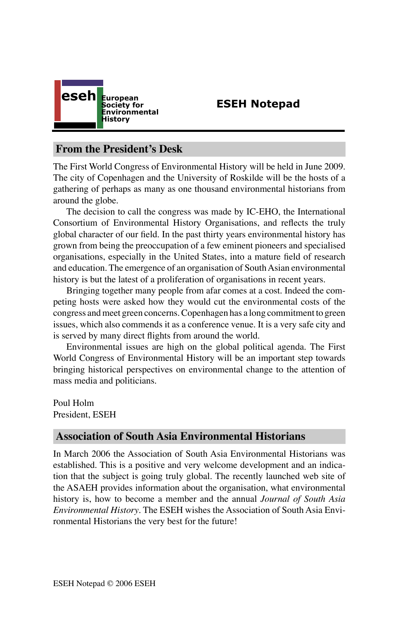

## **ESEH Notepad**

## **From the President's Desk**

The First World Congress of Environmental History will be held in June 2009. The city of Copenhagen and the University of Roskilde will be the hosts of a gathering of perhaps as many as one thousand environmental historians from around the globe.

The decision to call the congress was made by IC-EHO, the International Consortium of Environmental History Organisations, and reflects the truly global character of our field. In the past thirty years environmental history has grown from being the preoccupation of a few eminent pioneers and specialised organisations, especially in the United States, into a mature field of research and education. The emergence of an organisation of South Asian environmental history is but the latest of a proliferation of organisations in recent years.

Bringing together many people from afar comes at a cost. Indeed the competing hosts were asked how they would cut the environmental costs of the congress and meet green concerns. Copenhagen has a long commitment to green issues, which also commends it as a conference venue. It is a very safe city and is served by many direct flights from around the world.

Environmental issues are high on the global political agenda. The First World Congress of Environmental History will be an important step towards bringing historical perspectives on environmental change to the attention of mass media and politicians.

Poul Holm President, ESEH

### **Association of South Asia Environmental Historians**

In March 2006 the Association of South Asia Environmental Historians was established. This is a positive and very welcome development and an indication that the subject is going truly global. The recently launched web site of the ASAEH provides information about the organisation, what environmental history is, how to become a member and the annual *Journal of South Asia Environmental History*. The ESEH wishes the Association of South Asia Environmental Historians the very best for the future!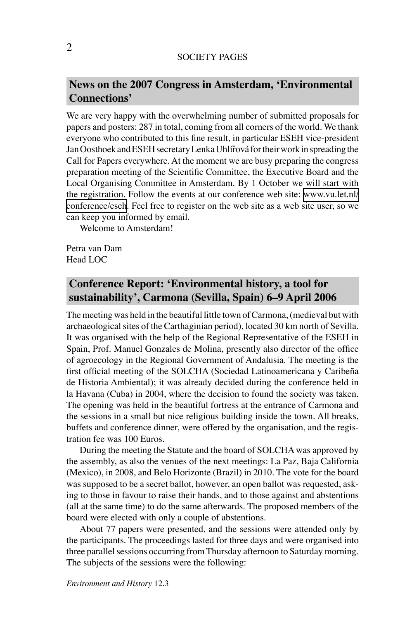#### SOCIETY PAGES

## **News on the 2007 Congress in Amsterdam, ʻEnvironmental Connections'**

We are very happy with the overwhelming number of submitted proposals for papers and posters: 287 in total, coming from all corners of the world. We thank everyone who contributed to this fine result, in particular ESEH vice-president Jan Oosthoek and ESEH secretary Lenka Uhlířová for their work in spreading the Call for Papers everywhere. At the moment we are busy preparing the congress preparation meeting of the Scientific Committee, the Executive Board and the Local Organising Committee in Amsterdam. By 1 October we will start with the registration. Follow the events at our conference web site: [www.vu.let.nl/](http://www.vu.let.nl/conference/eseh) [conference/eseh](http://www.vu.let.nl/conference/eseh). Feel free to register on the web site as a web site user, so we can keep you informed by email.

Welcome to Amsterdam!

Petra van Dam Head LOC

# **Conference Report: ʻEnvironmental history, a tool for sustainability', Carmona (Sevilla, Spain) 6–9 April 2006**

The meeting was held in the beautiful little town of Carmona, (medieval but with archaeological sites of the Carthaginian period), located 30 km north of Sevilla. It was organised with the help of the Regional Representative of the ESEH in Spain, Prof. Manuel Gonzales de Molina, presently also director of the office of agroecology in the Regional Government of Andalusia. The meeting is the first official meeting of the SOLCHA (Sociedad Latinoamericana y Caribeña de Historia Ambiental); it was already decided during the conference held in la Havana (Cuba) in 2004, where the decision to found the society was taken. The opening was held in the beautiful fortress at the entrance of Carmona and the sessions in a small but nice religious building inside the town. All breaks, buffets and conference dinner, were offered by the organisation, and the registration fee was 100 Euros.

During the meeting the Statute and the board of SOLCHA was approved by the assembly, as also the venues of the next meetings: La Paz, Baja California (Mexico), in 2008, and Belo Horizonte (Brazil) in 2010. The vote for the board was supposed to be a secret ballot, however, an open ballot was requested, asking to those in favour to raise their hands, and to those against and abstentions (all at the same time) to do the same afterwards. The proposed members of the board were elected with only a couple of abstentions.

About 77 papers were presented, and the sessions were attended only by the participants. The proceedings lasted for three days and were organised into three parallel sessions occurring from Thursday afternoon to Saturday morning. The subjects of the sessions were the following: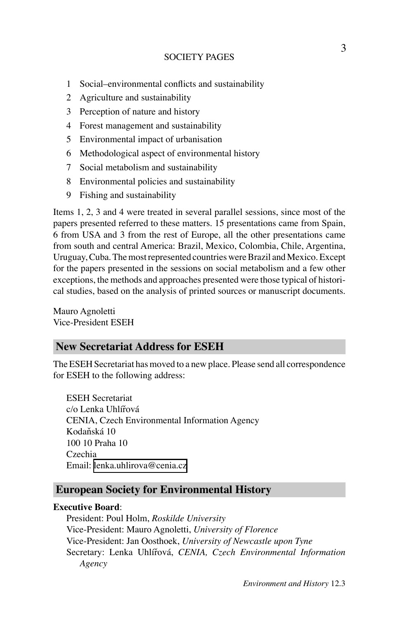### SOCIETY PAGES

- 1 Social–environmental conflicts and sustainability
- 2 Agriculture and sustainability
- 3 Perception of nature and history
- 4 Forest management and sustainability
- 5 Environmental impact of urbanisation
- 6 Methodological aspect of environmental history
- 7 Social metabolism and sustainability
- 8 Environmental policies and sustainability
- 9 Fishing and sustainability

Items 1, 2, 3 and 4 were treated in several parallel sessions, since most of the papers presented referred to these matters. 15 presentations came from Spain, 6 from USA and 3 from the rest of Europe, all the other presentations came from south and central America: Brazil, Mexico, Colombia, Chile, Argentina, Uruguay, Cuba. The most represented countries were Brazil and Mexico. Except for the papers presented in the sessions on social metabolism and a few other exceptions, the methods and approaches presented were those typical of historical studies, based on the analysis of printed sources or manuscript documents.

Mauro Agnoletti Vice-President ESEH

### **New Secretariat Address for ESEH**

The ESEH Secretariat has moved to a new place. Please send all correspondence for ESEH to the following address:

ESEH Secretariat c/o Lenka Uhlířová CENIA, Czech Environmental Information Agency Kodaňská 10 100 10 Praha 10 Czechia Email: [lenka.uhlirova@cenia.cz](mailto:lenka.uhlirova@cenia.cz)

## **European Society for Environmental History**

### **Executive Board**:

President: Poul Holm, *Roskilde University* Vice-President: Mauro Agnoletti, *University of Florence* Vice-President: Jan Oosthoek, *University of Newcastle upon Tyne* Secretary: Lenka Uhlířová, *CENIA, Czech Environmental Information Agency*